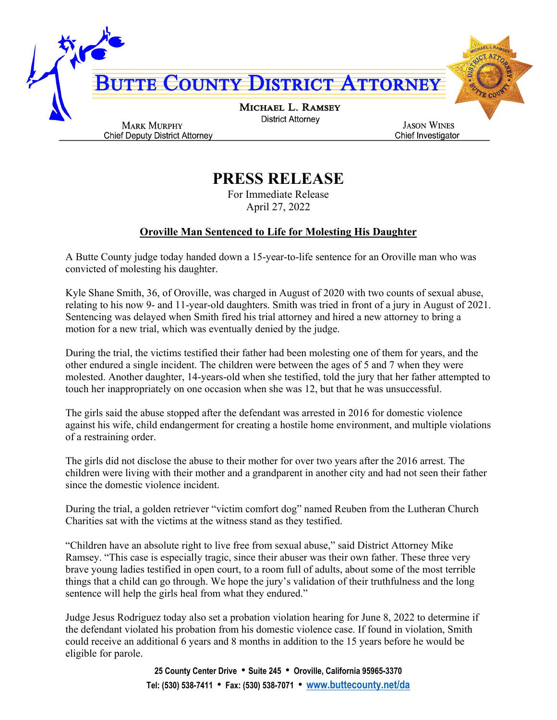

## **PRESS RELEASE**

For Immediate Release April 27, 2022

## **Oroville Man Sentenced to Life for Molesting His Daughter**

A Butte County judge today handed down a 15-year-to-life sentence for an Oroville man who was convicted of molesting his daughter.

Kyle Shane Smith, 36, of Oroville, was charged in August of 2020 with two counts of sexual abuse, relating to his now 9- and 11-year-old daughters. Smith was tried in front of a jury in August of 2021. Sentencing was delayed when Smith fired his trial attorney and hired a new attorney to bring a motion for a new trial, which was eventually denied by the judge.

During the trial, the victims testified their father had been molesting one of them for years, and the other endured a single incident. The children were between the ages of 5 and 7 when they were molested. Another daughter, 14-years-old when she testified, told the jury that her father attempted to touch her inappropriately on one occasion when she was 12, but that he was unsuccessful.

The girls said the abuse stopped after the defendant was arrested in 2016 for domestic violence against his wife, child endangerment for creating a hostile home environment, and multiple violations of a restraining order.

The girls did not disclose the abuse to their mother for over two years after the 2016 arrest. The children were living with their mother and a grandparent in another city and had not seen their father since the domestic violence incident.

During the trial, a golden retriever "victim comfort dog" named Reuben from the Lutheran Church Charities sat with the victims at the witness stand as they testified.

"Children have an absolute right to live free from sexual abuse," said District Attorney Mike Ramsey. "This case is especially tragic, since their abuser was their own father. These three very brave young ladies testified in open court, to a room full of adults, about some of the most terrible things that a child can go through. We hope the jury's validation of their truthfulness and the long sentence will help the girls heal from what they endured."

Judge Jesus Rodriguez today also set a probation violation hearing for June 8, 2022 to determine if the defendant violated his probation from his domestic violence case. If found in violation, Smith could receive an additional 6 years and 8 months in addition to the 15 years before he would be eligible for parole.

> **25 County Center Drive** • **Suite 245** • **Oroville, California 95965-3370 Tel: (530) 538-7411** • **Fax: (530) 538-7071** • **[www.buttecounty.net/da](http://www.buttecounty.net/da)**